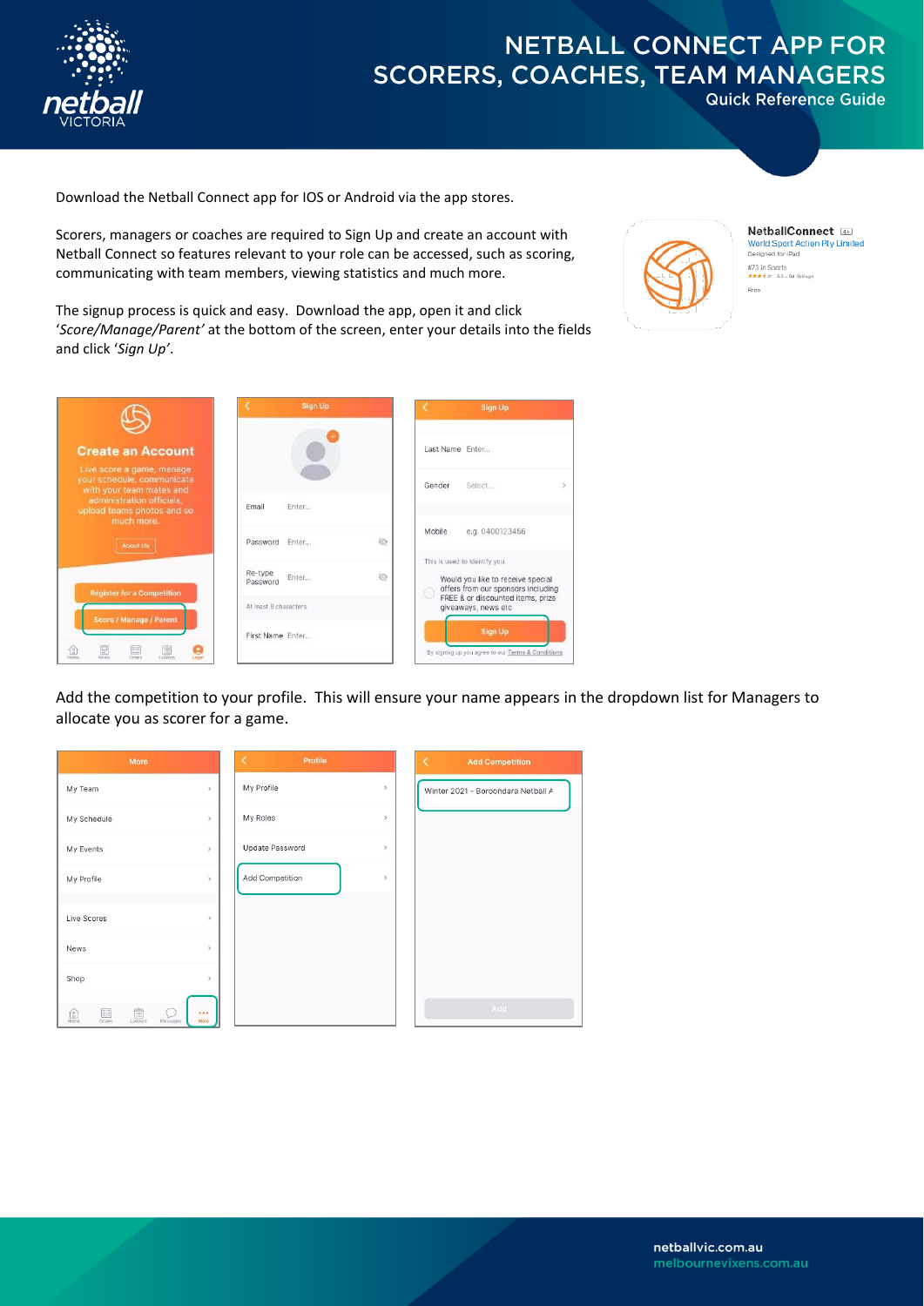

**Quick Reference Guide** 

Download the Netball Connect app for IOS or Android via the app stores.

Scorers, managers or coaches are required to Sign Up and create an account with Netball Connect so features relevant to your role can be accessed, such as scoring, communicating with team members, viewing statistics and much more.



**NetballConnect 4** World Sport Action Pty Limited<br>Designed for IPad #73 in Sports<br>★★★★★ 3.3 + 90 Ratings Free

The signup process is quick and easy. Download the app, open it and click '*Score/Manage/Parent'* at the bottom of the screen, enter your details into the fields and click '*Sign Up'*.

|                                                                                                                                                | Sign Up                                   | Sign Up                                                                                                  |  |
|------------------------------------------------------------------------------------------------------------------------------------------------|-------------------------------------------|----------------------------------------------------------------------------------------------------------|--|
| <b>Create an Account</b>                                                                                                                       |                                           | Last Name Enter                                                                                          |  |
| Live score a game, manage<br>your schedule, communicate<br>with your team mates and<br>administration officials.<br>upload teams photos and so | Enter<br>Email                            | Select<br>Gender                                                                                         |  |
| much more.<br>About Us                                                                                                                         | 80<br>Password Fnter                      | e.g. 0400123456<br>Mobile                                                                                |  |
| <b>Register for a Competition</b>                                                                                                              | Re-type<br>10<br>Enter<br>Password        | This is used to identify you.<br>Would you like to receive special<br>offers from our sponsors including |  |
| Score / Manage / Parent                                                                                                                        | At least 8 characters<br>First Name Enter | FREE & or discounted items, prize<br>giveaways, news etc<br><b>Sign Up</b>                               |  |
| 12<br>漂<br>L European<br>Planner<br><b>Malalace</b><br><b>CALLA</b>                                                                            |                                           | By signing up you agree to our Terms & Conditions                                                        |  |

Add the competition to your profile. This will ensure your name appears in the dropdown list for Managers to allocate you as scorer for a game.

| More                                                                                                                                                                                                                                                                                       |                           | Profile         |                      | <b>Add Competition</b><br>≺        |
|--------------------------------------------------------------------------------------------------------------------------------------------------------------------------------------------------------------------------------------------------------------------------------------------|---------------------------|-----------------|----------------------|------------------------------------|
| My Team                                                                                                                                                                                                                                                                                    | $\overline{\phantom{a}}$  | My Profile      | $\rightarrow$        | Winter 2021 - Boroondara Netball A |
| My Schedule                                                                                                                                                                                                                                                                                | $\,$                      | My Roles        | $\,$                 |                                    |
| My Events                                                                                                                                                                                                                                                                                  | $\overline{ }$            | Update Password | $\ddot{\phantom{1}}$ |                                    |
| My Profile                                                                                                                                                                                                                                                                                 | $\,$                      | Add Competition | $\rightarrow$        |                                    |
| Live Scores                                                                                                                                                                                                                                                                                | $\rightarrow$             |                 |                      |                                    |
| News                                                                                                                                                                                                                                                                                       | $\mathcal{L}$             |                 |                      |                                    |
| Shop                                                                                                                                                                                                                                                                                       | $\,$                      |                 |                      |                                    |
| $\begin{tabular}{ c c } \hline \quad \quad & \quad \quad & \quad \quad \\ \hline \quad \quad & \quad \quad & \quad \\ \hline \quad \quad & \quad \quad & \quad \\ \hline \end{tabular}$<br>噩<br>$\underbrace{\begin{pmatrix} 0 \\ 0 \\ \text{Home} \end{pmatrix}}_{\text{Home}}$<br>Draws. | <br>8<br>More<br>Messages |                 |                      | Add                                |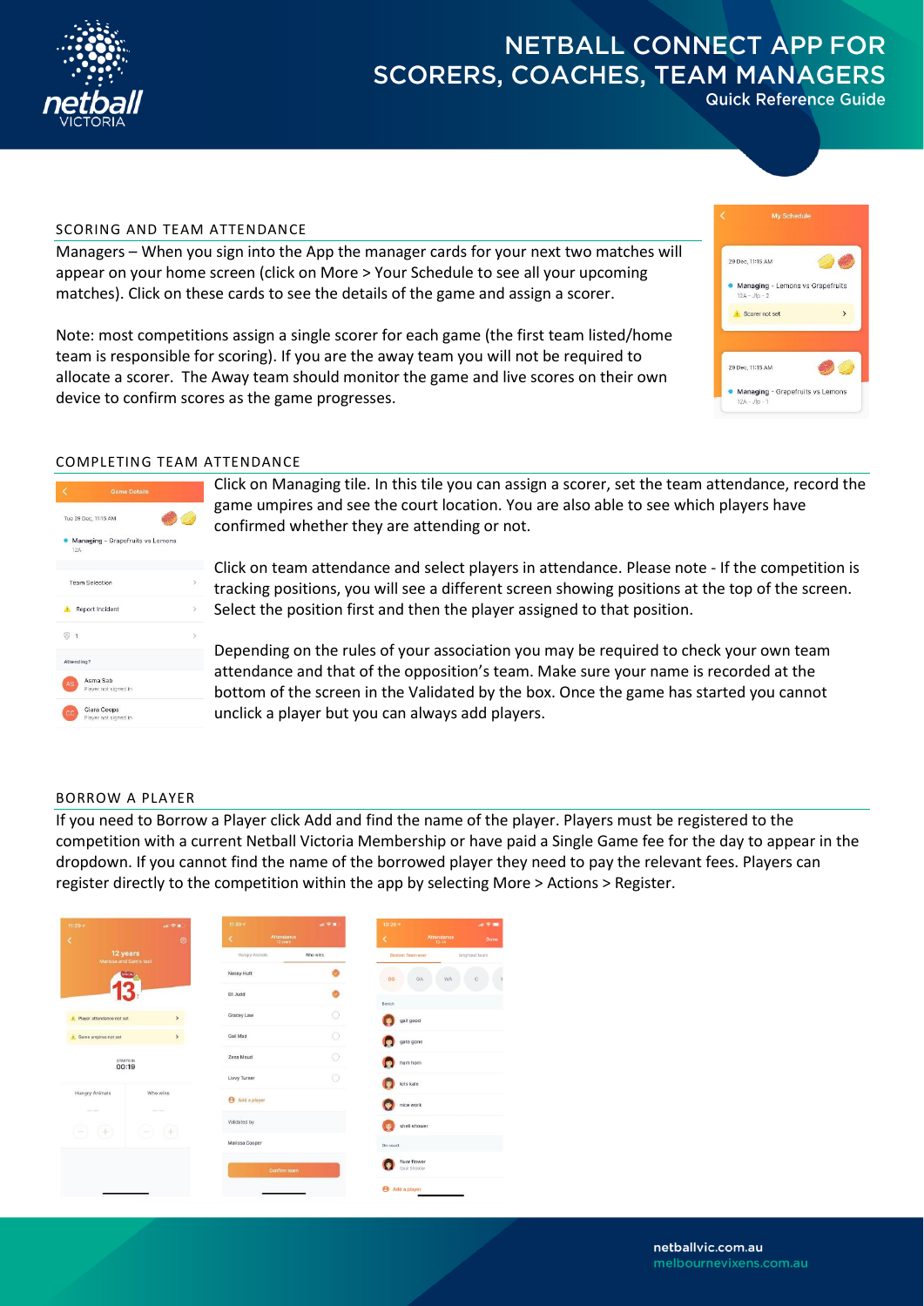

**Quick Reference Guide** 

### SCORING AND TEAM ATTENDANCE

Managers – When you sign into the App the manager cards for your next two matches will appear on your home screen (click on More > Your Schedule to see all your upcoming matches). Click on these cards to see the details of the game and assign a scorer.

29 Dec, 11:15 AM • Managing - Lemons vs Grapefruits Scorer not set 29 Dec. 11:15 AM Managing - Grapefruits vs Lemo

Note: most competitions assign a single scorer for each game (the first team listed/home team is responsible for scoring). If you are the away team you will not be required to allocate a scorer. The Away team should monitor the game and live scores on their own device to confirm scores as the game progresses.

### COMPLETING TEAM ATTENDANCE

|                      | <b>Game Details</b>                 |   |
|----------------------|-------------------------------------|---|
| Tue 29 Dec, 11:15 AM |                                     |   |
| 12A                  | Managing - Grapefruits vs Lemons    |   |
|                      | <b>Team Selection</b>               | 5 |
| n.                   | Report Incident                     | 5 |
| $\odot$ 1            |                                     | 5 |
| Attending?           |                                     |   |
| AS                   | Asma Sab<br>Player not signed in    |   |
| cc                   | Ciara Coops<br>Player not signed in |   |

Click on Managing tile. In this tile you can assign a scorer, set the team attendance, record the game umpires and see the court location. You are also able to see which players have confirmed whether they are attending or not.

Click on team attendance and select players in attendance. Please note - If the competition is tracking positions, you will see a different screen showing positions at the top of the screen. Select the position first and then the player assigned to that position.

Depending on the rules of your association you may be required to check your own team attendance and that of the opposition's team. Make sure your name is recorded at the bottom of the screen in the Validated by the box. Once the game has started you cannot unclick a player but you can always add players.

### BORROW A PLAYER

If you need to Borrow a Player click Add and find the name of the player. Players must be registered to the competition with a current Netball Victoria Membership or have paid a Single Game fee for the day to appear in the dropdown. If you cannot find the name of the borrowed player they need to pay the relevant fees. Players can register directly to the competition within the app by selecting More > Actions > Register.

| 11:29.9<br>K                                                                      | $\mathbf{m} \otimes \mathbf{m}$<br>$\circ$ | 11:30.9<br>Attendance<br>K<br>12 years | 証金書      | 10:26 %<br>Attendance<br>K   | $\mathbf{m} \in \mathbf{m}$<br>Done |
|-----------------------------------------------------------------------------------|--------------------------------------------|----------------------------------------|----------|------------------------------|-------------------------------------|
| 12 years<br>Marissa and Sam's test                                                |                                            | Hungry Animals                         | Who wins | <b>Bestest Team ever</b>     | brightest team                      |
| sincen.                                                                           |                                            | <b>Nessy Hutt</b>                      |          | GS<br>GA<br><b>WA</b>        | C                                   |
|                                                                                   |                                            | Ell Judd                               |          |                              |                                     |
| Player attendance not set                                                         | $\rightarrow$                              | Gracey Law                             | Ō        | Bench<br>gail good           |                                     |
| <b>f</b> Game umpires not set                                                     | $\rightarrow$                              | Gail Mad                               | $\circ$  | gate gone                    |                                     |
| STARTS IN<br>00:19                                                                |                                            | Zena Moud                              | Ō        | ham horn                     |                                     |
|                                                                                   |                                            | <b>Livvy Turner</b>                    | a        | kris kale                    |                                     |
| <b>Hungry Animals</b>                                                             | Who wins                                   | Add a player                           |          | nice work                    |                                     |
| Send Ave.<br><b>Service Street</b><br>$-) +$<br>$($ +<br>$\overline{\phantom{a}}$ |                                            | Validated by                           |          | shell shower                 |                                     |
|                                                                                   |                                            | Marissa Cooper                         |          | On court                     |                                     |
|                                                                                   |                                            | <b>Confirm team</b>                    |          | fluer flower<br>Goal Shooter |                                     |
|                                                                                   |                                            |                                        |          | Add a player                 |                                     |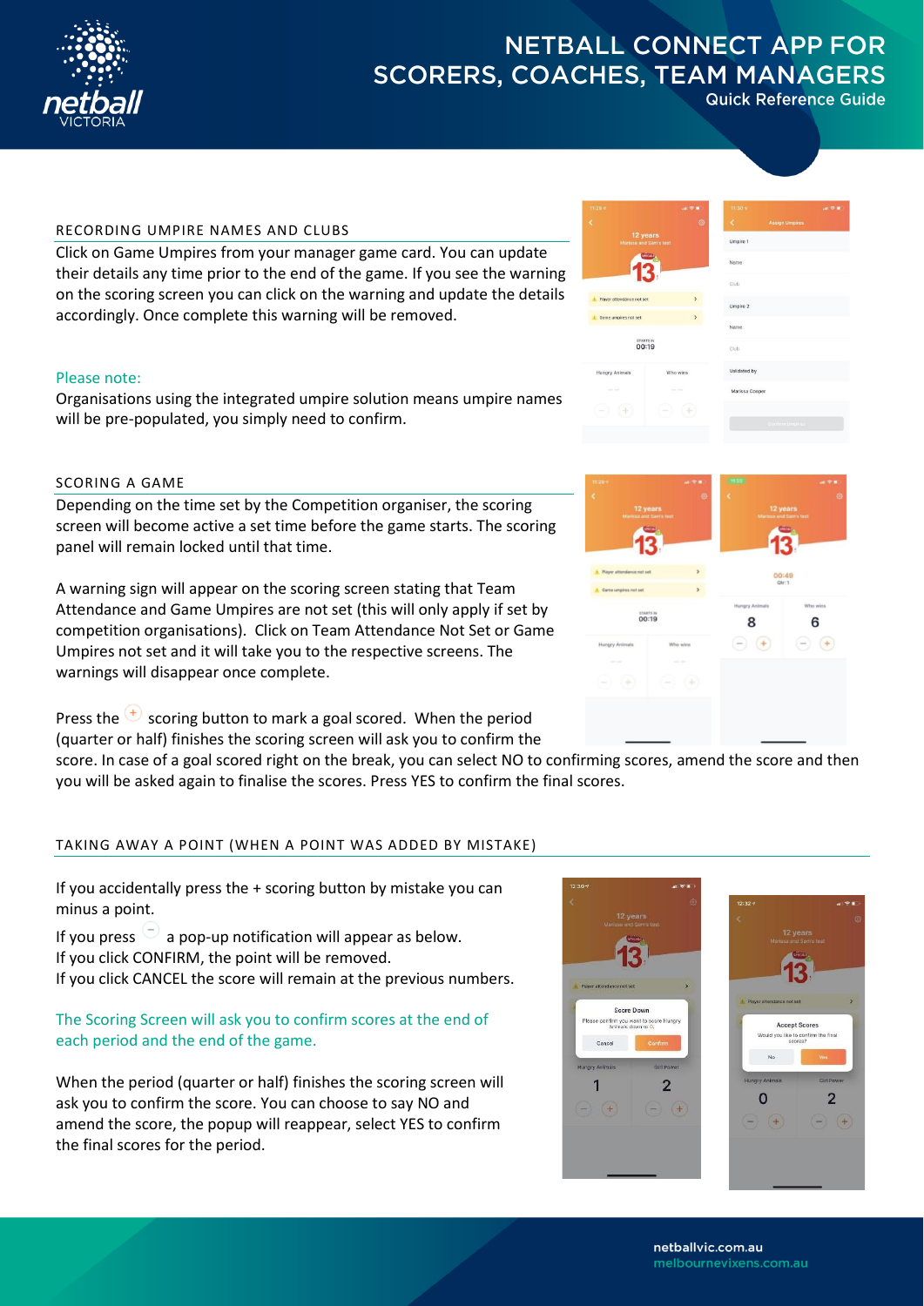

**Quick Reference Guide** 

### RECORDING UMPIRE NAMES AND CLUBS

Click on Game Umpires from your manager game card. You can update their details any time prior to the end of the game. If you see the warning on the scoring screen you can click on the warning and update the details accordingly. Once complete this warning will be removed.

### Please note:

Organisations using the integrated umpire solution means umpire names will be pre-populated, you simply need to confirm.

## SCORING A GAME

Depending on the time set by the Competition organiser, the scoring screen will become active a set time before the game starts. The scoring panel will remain locked until that time.

A warning sign will appear on the scoring screen stating that Team Attendance and Game Umpires are not set (this will only apply if set by competition organisations). Click on Team Attendance Not Set or Game Umpires not set and it will take you to the respective screens. The warnings will disappear once complete.

Press the  $\overline{t}$  scoring button to mark a goal scored. When the period (quarter or half) finishes the scoring screen will ask you to confirm the

score. In case of a goal scored right on the break, you can select NO to confirming scores, amend the score and then you will be asked again to finalise the scores. Press YES to confirm the final scores.

### TAKING AWAY A POINT (WHEN A POINT WAS ADDED BY MISTAKE)

If you accidentally press the + scoring button by mistake you can minus a point.

If you press  $\cup$  a pop-up notification will appear as below. If you click CONFIRM, the point will be removed. If you click CANCEL the score will remain at the previous numbers.

## The Scoring Screen will ask you to confirm scores at the end of each period and the end of the game.

When the period (quarter or half) finishes the scoring screen will ask you to confirm the score. You can choose to say NO and amend the score, the popup will reappear, select YES to confirm the final scores for the period.





**Accept Score** 

 $\overline{2}$ 



melbournevixens.com.au

 $\Omega$ 

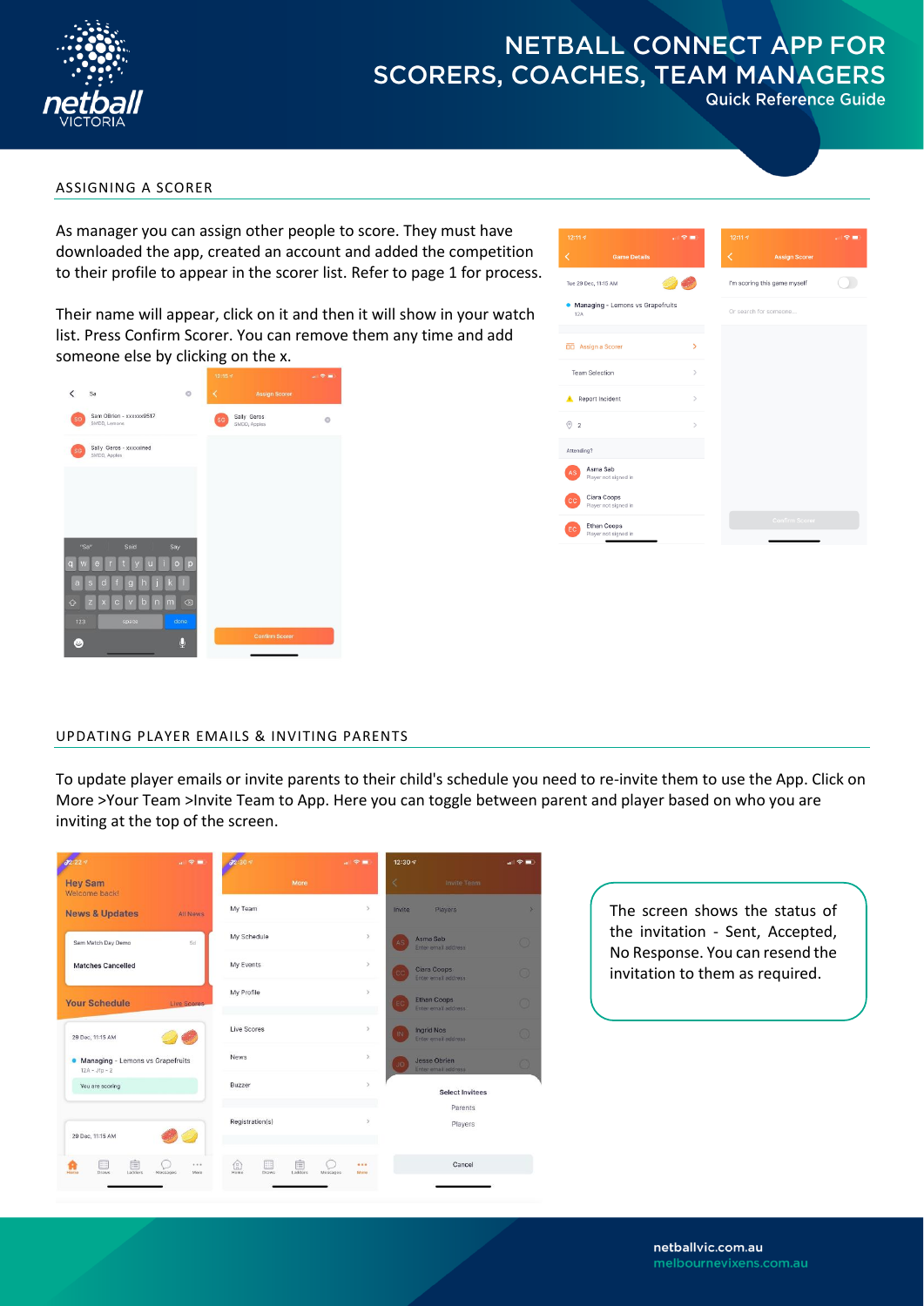

**Quick Reference Guide** 

### ASSIGNING A SCORER

As manager you can assign other people to score. They must have downloaded the app, created an account and added the competition to their profile to appear in the scorer list. Refer to page 1 for process.

Their name will appear, click on it and then it will show in your watch list. Press Confirm Scorer. You can remove them any time and add someone else by clicking on the x.



| 12:11.9                                    | 川金庫           | 12:11.7                      |                       | 計令■ |
|--------------------------------------------|---------------|------------------------------|-----------------------|-----|
| <b>Game Details</b><br>C                   |               | K                            | <b>Assign Scorer</b>  |     |
| Tue 29 Dec, 11:15 AM                       |               | I'm scoring this game myself |                       |     |
| • Managing - Lemons vs Grapefruits<br>12A  |               | Or search for someone        |                       |     |
| <b>DD</b> Assign a Scorer                  | У             |                              |                       |     |
| <b>Team Selection</b>                      | $\mathcal{P}$ |                              |                       |     |
| Report Incident                            | $\mathcal{P}$ |                              |                       |     |
| $\odot$ 2                                  | $\mathcal{P}$ |                              |                       |     |
| Attending?                                 |               |                              |                       |     |
| Asma Sab<br>AS<br>Player not signed in     |               |                              |                       |     |
| Ciara Coops<br>cс<br>Player not signed in  |               |                              |                       |     |
| Ethan Coops<br>EC.<br>Player not signed in |               |                              | <b>Confirm Scorer</b> |     |

### UPDATING PLAYER EMAILS & INVITING PARENTS

To update player emails or invite parents to their child's schedule you need to re-invite them to use the App. Click on More >Your Team >Invite Team to App. Here you can toggle between parent and player based on who you are inviting at the top of the screen.



The screen shows the status of the invitation - Sent, Accepted, No Response. You can resend the invitation to them as required.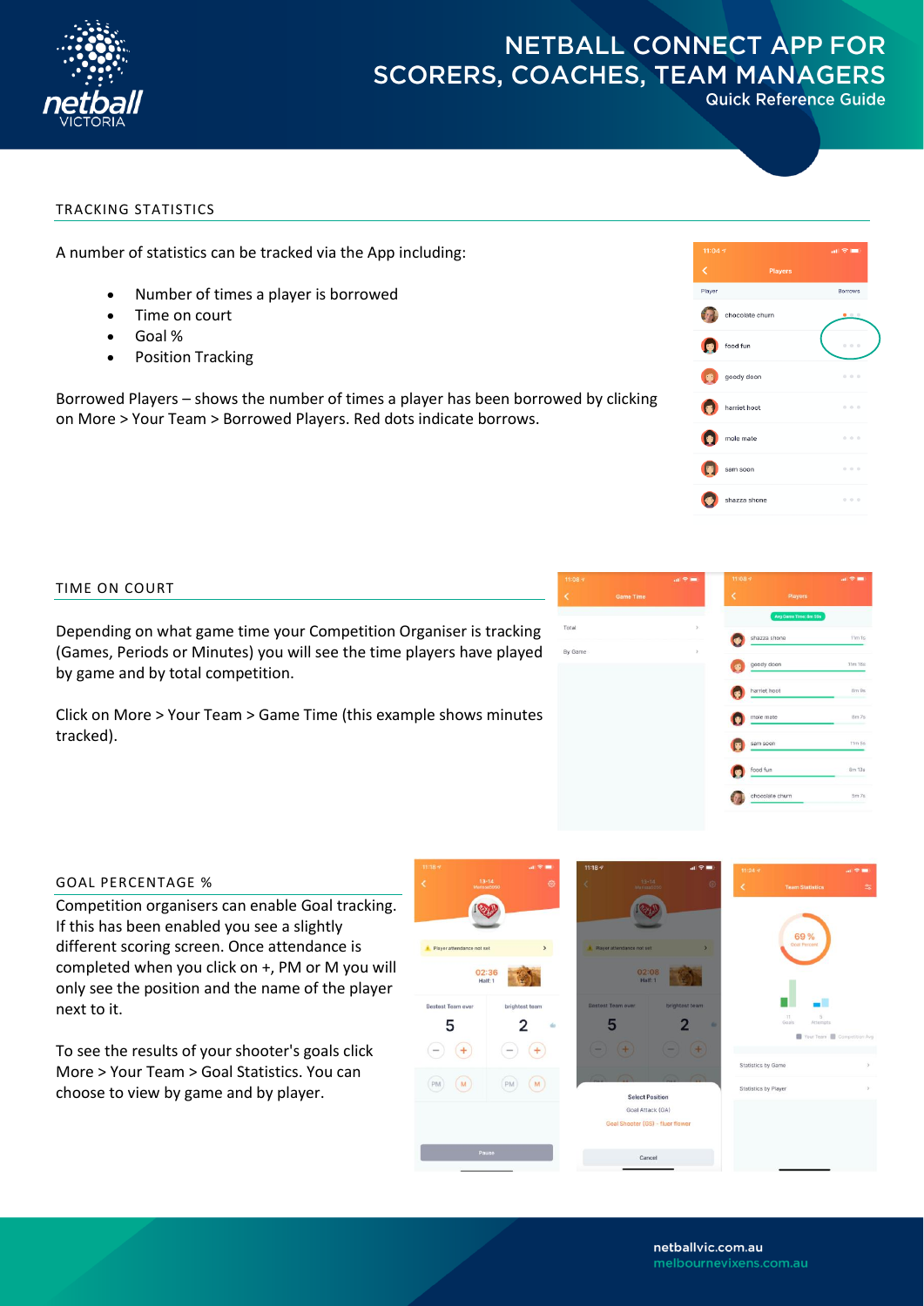

**Quick Reference Guide** 

### TRACKING STATISTICS

A number of statistics can be tracked via the App including:

- Number of times a player is borrowed
- Time on court
- Goal %
- Position Tracking

Borrowed Players – shows the number of times a player has been borrowed by clicking on More > Your Team > Borrowed Players. Red dots indicate borrows.



### TIME ON COURT

Depending on what game time your Competition Organiser is tracking (Games, Periods or Minutes) you will see the time players have played by game and by total competition.

Click on More > Your Team > Game Time (this example shows minutes tracked).



### GOAL PERCENTAGE %

Competition organisers can enable Goal tracking. If this has been enabled you see a slightly different scoring screen. Once attendance is completed when you click on +, PM or M you will only see the position and the name of the player next to it.

To see the results of your shooter's goals click More > Your Team > Goal Statistics. You can choose to view by game and by player.